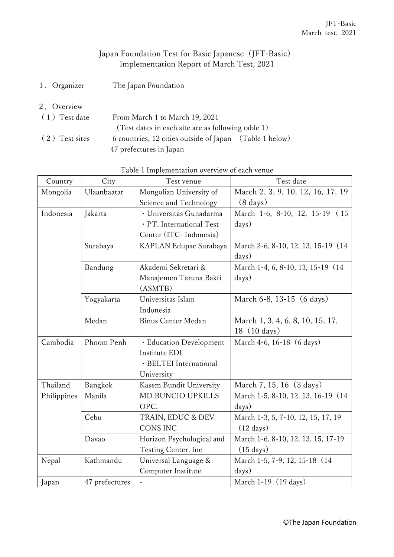## Japan Foundation Test for Basic Japanese (JFT-Basic) Implementation Report of March Test, 2021

- 1.Organizer The Japan Foundation
- 2.Overview

| $(1)$ Test date | From March 1 to March 19, 2021                          |  |
|-----------------|---------------------------------------------------------|--|
|                 | (Test dates in each site are as following table 1)      |  |
| (2) Test sites  | 6 countries, 12 cities outside of Japan (Table 1 below) |  |
|                 | 47 prefectures in Japan                                 |  |

| Country     | City           | Test venue                | Test date                           |
|-------------|----------------|---------------------------|-------------------------------------|
| Mongolia    | Ulaanbaatar    | Mongolian University of   | March 2, 3, 9, 10, 12, 16, 17, 19   |
|             |                | Science and Technology    | $(8 \text{ days})$                  |
| Indonesia   | Jakarta        | · Universitas Gunadarma   | March 1-6, 8-10, 12, 15-19 (15)     |
|             |                | · PT. International Test  | days)                               |
|             |                | Center (ITC- Indonesia)   |                                     |
|             | Surabaya       | KAPLAN Edupac Surabaya    | March 2-6, 8-10, 12, 13, 15-19 (14) |
|             |                |                           | days)                               |
|             | Bandung        | Akademi Sekretari &       | March 1-4, 6, 8-10, 13, 15-19 (14)  |
|             |                | Manajemen Taruna Bakti    | days)                               |
|             |                | (ASMTB)                   |                                     |
|             | Yogyakarta     | Universitas Islam         | March 6-8, 13-15 (6 days)           |
|             |                | Indonesia                 |                                     |
|             | Medan          | <b>Binus Center Medan</b> | March 1, 3, 4, 6, 8, 10, 15, 17,    |
|             |                |                           | 18 (10 days)                        |
| Cambodia    | Phnom Penh     | · Education Development   | March 4-6, 16-18 (6 days)           |
|             |                | Institute EDI             |                                     |
|             |                | · BELTEI International    |                                     |
|             |                | University                |                                     |
| Thailand    | Bangkok        | Kasem Bundit University   | March 7, 15, 16 (3 days)            |
| Philippines | Manila         | <b>MD BUNCIO UPKILLS</b>  | March 1-5, 8-10, 12, 13, 16-19 (14) |
|             |                | OPC.                      | days)                               |
|             | Cebu           | TRAIN, EDUC & DEV         | March 1-3, 5, 7-10, 12, 15, 17, 19  |
|             |                | <b>CONS INC</b>           | $(12 \text{ days})$                 |
|             | Davao          | Horizon Psychological and | March 1-6, 8-10, 12, 13, 15, 17-19  |
|             |                | Testing Center, Inc.      | $(15 \text{ days})$                 |
| Nepal       | Kathmandu      | Universal Language &      | March 1-5, 7-9, 12, 15-18 (14)      |
|             |                | Computer Institute        | days)                               |
| Japan       | 47 prefectures | $\overline{\phantom{a}}$  | March $1-19$ (19 days)              |

## Table 1 Implementation overview of each venue